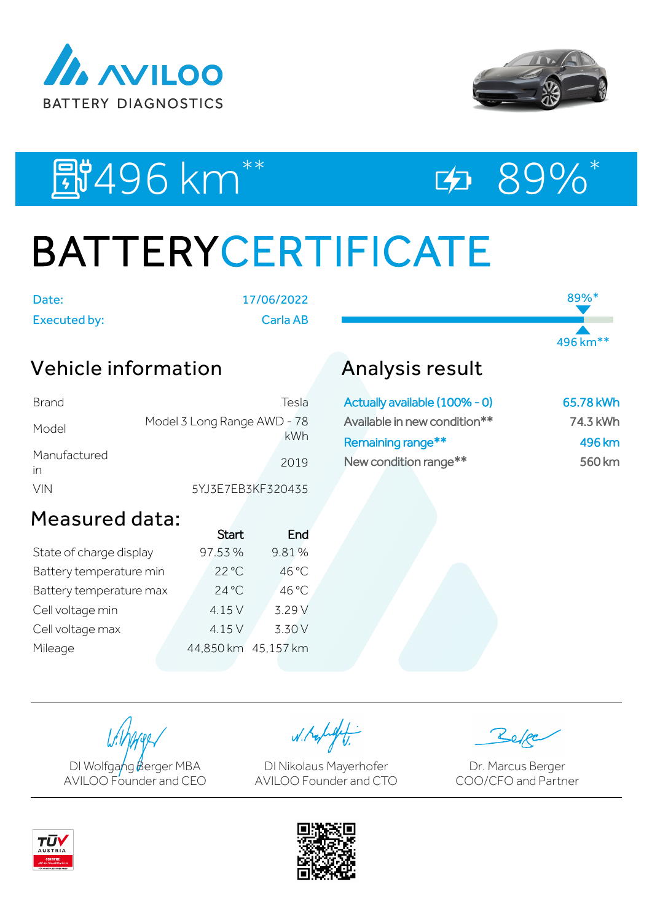



89%\*

496 km\*\*

# E#496 km<sup>\*\*</sup> E> 89%\*

# BATTERYCERTIFICATE

Date: 17/06/2022

Executed by: Carla AB

## Vehicle information

| Brand              | Tesla                              |
|--------------------|------------------------------------|
| Model              | Model 3 Long Range AWD - 78<br>kWh |
| Manufactured<br>in | 2019                               |
| <b>VIN</b>         | 5YJ3E7EB3KF320435                  |

## Analysis result

| Actually available (100% - 0) | 65.78 kWh |
|-------------------------------|-----------|
| Available in new condition**  | 74.3 kWh  |
| Remaining range**             | 496 km    |
| New condition range**         | 560 km    |

### Measured data:

|                         | <b>Start</b>        | End    |
|-------------------------|---------------------|--------|
| State of charge display | 97.53%              | 9.81%  |
| Battery temperature min | $22^{\circ}$ C      | 46 °C  |
| Battery temperature max | $24^{\circ}$ C      | 46 °C  |
| Cell voltage min        | 4.15 V              | 3.29 V |
| Cell voltage max        | 4.15 V              | 3.30 V |
| Mileage                 | 44,850 km 45,157 km |        |
|                         |                     |        |

DI Wolfgang Berger MBA AVILOO Founder and CEO

W. Kolight

DI Nikolaus Mayerhofer AVILOO Founder and CTO

Dr. Marcus Berger COO/CFO and Partner